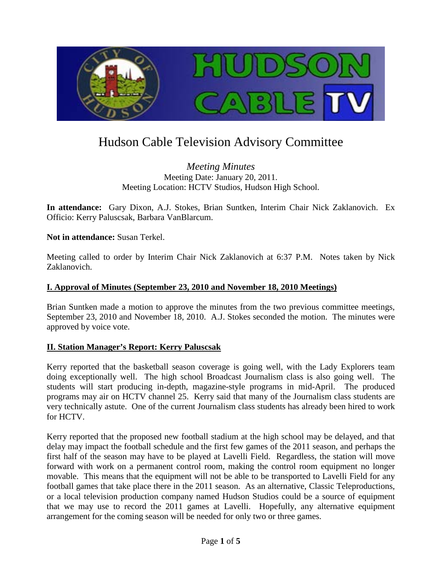

# Hudson Cable Television Advisory Committee

*Meeting Minutes* Meeting Date: January 20, 2011. Meeting Location: HCTV Studios, Hudson High School.

**In attendance:** Gary Dixon, A.J. Stokes, Brian Suntken, Interim Chair Nick Zaklanovich. Ex Officio: Kerry Paluscsak, Barbara VanBlarcum.

## **Not in attendance:** Susan Terkel.

Meeting called to order by Interim Chair Nick Zaklanovich at 6:37 P.M. Notes taken by Nick Zaklanovich.

### **I. Approval of Minutes (September 23, 2010 and November 18, 2010 Meetings)**

Brian Suntken made a motion to approve the minutes from the two previous committee meetings, September 23, 2010 and November 18, 2010. A.J. Stokes seconded the motion. The minutes were approved by voice vote.

### **II. Station Manager's Report: Kerry Paluscsak**

Kerry reported that the basketball season coverage is going well, with the Lady Explorers team doing exceptionally well. The high school Broadcast Journalism class is also going well. The students will start producing in-depth, magazine-style programs in mid-April. The produced programs may air on HCTV channel 25. Kerry said that many of the Journalism class students are very technically astute. One of the current Journalism class students has already been hired to work for HCTV.

Kerry reported that the proposed new football stadium at the high school may be delayed, and that delay may impact the football schedule and the first few games of the 2011 season, and perhaps the first half of the season may have to be played at Lavelli Field. Regardless, the station will move forward with work on a permanent control room, making the control room equipment no longer movable. This means that the equipment will not be able to be transported to Lavelli Field for any football games that take place there in the 2011 season. As an alternative, Classic Teleproductions, or a local television production company named Hudson Studios could be a source of equipment that we may use to record the 2011 games at Lavelli. Hopefully, any alternative equipment arrangement for the coming season will be needed for only two or three games.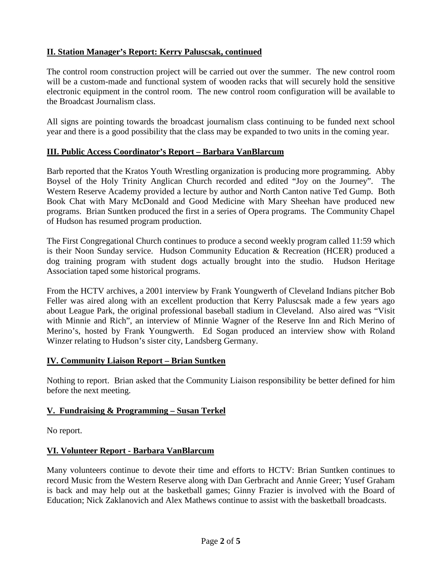# **II. Station Manager's Report: Kerry Paluscsak, continued**

The control room construction project will be carried out over the summer. The new control room will be a custom-made and functional system of wooden racks that will securely hold the sensitive electronic equipment in the control room. The new control room configuration will be available to the Broadcast Journalism class.

All signs are pointing towards the broadcast journalism class continuing to be funded next school year and there is a good possibility that the class may be expanded to two units in the coming year.

## **III. Public Access Coordinator's Report – Barbara VanBlarcum**

Barb reported that the Kratos Youth Wrestling organization is producing more programming. Abby Boysel of the Holy Trinity Anglican Church recorded and edited "Joy on the Journey". The Western Reserve Academy provided a lecture by author and North Canton native Ted Gump. Both Book Chat with Mary McDonald and Good Medicine with Mary Sheehan have produced new programs. Brian Suntken produced the first in a series of Opera programs. The Community Chapel of Hudson has resumed program production.

The First Congregational Church continues to produce a second weekly program called 11:59 which is their Noon Sunday service. Hudson Community Education & Recreation (HCER) produced a dog training program with student dogs actually brought into the studio. Hudson Heritage Association taped some historical programs.

From the HCTV archives, a 2001 interview by Frank Youngwerth of Cleveland Indians pitcher Bob Feller was aired along with an excellent production that Kerry Paluscsak made a few years ago about League Park, the original professional baseball stadium in Cleveland. Also aired was "Visit with Minnie and Rich", an interview of Minnie Wagner of the Reserve Inn and Rich Merino of Merino's, hosted by Frank Youngwerth. Ed Sogan produced an interview show with Roland Winzer relating to Hudson's sister city, Landsberg Germany.

### **IV. Community Liaison Report – Brian Suntken**

Nothing to report. Brian asked that the Community Liaison responsibility be better defined for him before the next meeting.

### **V. Fundraising & Programming – Susan Terkel**

No report.

## **VI. Volunteer Report - Barbara VanBlarcum**

Many volunteers continue to devote their time and efforts to HCTV: Brian Suntken continues to record Music from the Western Reserve along with Dan Gerbracht and Annie Greer; Yusef Graham is back and may help out at the basketball games; Ginny Frazier is involved with the Board of Education; Nick Zaklanovich and Alex Mathews continue to assist with the basketball broadcasts.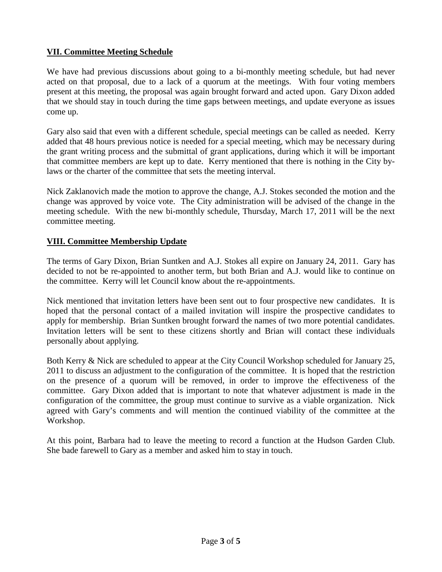# **VII. Committee Meeting Schedule**

We have had previous discussions about going to a bi-monthly meeting schedule, but had never acted on that proposal, due to a lack of a quorum at the meetings. With four voting members present at this meeting, the proposal was again brought forward and acted upon. Gary Dixon added that we should stay in touch during the time gaps between meetings, and update everyone as issues come up.

Gary also said that even with a different schedule, special meetings can be called as needed. Kerry added that 48 hours previous notice is needed for a special meeting, which may be necessary during the grant writing process and the submittal of grant applications, during which it will be important that committee members are kept up to date. Kerry mentioned that there is nothing in the City bylaws or the charter of the committee that sets the meeting interval.

Nick Zaklanovich made the motion to approve the change, A.J. Stokes seconded the motion and the change was approved by voice vote. The City administration will be advised of the change in the meeting schedule. With the new bi-monthly schedule, Thursday, March 17, 2011 will be the next committee meeting.

## **VIII. Committee Membership Update**

The terms of Gary Dixon, Brian Suntken and A.J. Stokes all expire on January 24, 2011. Gary has decided to not be re-appointed to another term, but both Brian and A.J. would like to continue on the committee. Kerry will let Council know about the re-appointments.

Nick mentioned that invitation letters have been sent out to four prospective new candidates. It is hoped that the personal contact of a mailed invitation will inspire the prospective candidates to apply for membership. Brian Suntken brought forward the names of two more potential candidates. Invitation letters will be sent to these citizens shortly and Brian will contact these individuals personally about applying.

Both Kerry & Nick are scheduled to appear at the City Council Workshop scheduled for January 25, 2011 to discuss an adjustment to the configuration of the committee. It is hoped that the restriction on the presence of a quorum will be removed, in order to improve the effectiveness of the committee. Gary Dixon added that is important to note that whatever adjustment is made in the configuration of the committee, the group must continue to survive as a viable organization. Nick agreed with Gary's comments and will mention the continued viability of the committee at the Workshop.

At this point, Barbara had to leave the meeting to record a function at the Hudson Garden Club. She bade farewell to Gary as a member and asked him to stay in touch.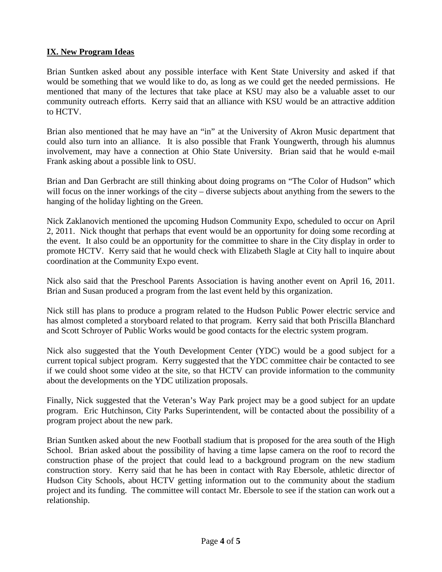# **IX. New Program Ideas**

Brian Suntken asked about any possible interface with Kent State University and asked if that would be something that we would like to do, as long as we could get the needed permissions. He mentioned that many of the lectures that take place at KSU may also be a valuable asset to our community outreach efforts. Kerry said that an alliance with KSU would be an attractive addition to HCTV.

Brian also mentioned that he may have an "in" at the University of Akron Music department that could also turn into an alliance. It is also possible that Frank Youngwerth, through his alumnus involvement, may have a connection at Ohio State University. Brian said that he would e-mail Frank asking about a possible link to OSU.

Brian and Dan Gerbracht are still thinking about doing programs on "The Color of Hudson" which will focus on the inner workings of the city – diverse subjects about anything from the sewers to the hanging of the holiday lighting on the Green.

Nick Zaklanovich mentioned the upcoming Hudson Community Expo, scheduled to occur on April 2, 2011. Nick thought that perhaps that event would be an opportunity for doing some recording at the event. It also could be an opportunity for the committee to share in the City display in order to promote HCTV. Kerry said that he would check with Elizabeth Slagle at City hall to inquire about coordination at the Community Expo event.

Nick also said that the Preschool Parents Association is having another event on April 16, 2011. Brian and Susan produced a program from the last event held by this organization.

Nick still has plans to produce a program related to the Hudson Public Power electric service and has almost completed a storyboard related to that program. Kerry said that both Priscilla Blanchard and Scott Schroyer of Public Works would be good contacts for the electric system program.

Nick also suggested that the Youth Development Center (YDC) would be a good subject for a current topical subject program. Kerry suggested that the YDC committee chair be contacted to see if we could shoot some video at the site, so that HCTV can provide information to the community about the developments on the YDC utilization proposals.

Finally, Nick suggested that the Veteran's Way Park project may be a good subject for an update program. Eric Hutchinson, City Parks Superintendent, will be contacted about the possibility of a program project about the new park.

Brian Suntken asked about the new Football stadium that is proposed for the area south of the High School. Brian asked about the possibility of having a time lapse camera on the roof to record the construction phase of the project that could lead to a background program on the new stadium construction story. Kerry said that he has been in contact with Ray Ebersole, athletic director of Hudson City Schools, about HCTV getting information out to the community about the stadium project and its funding. The committee will contact Mr. Ebersole to see if the station can work out a relationship.